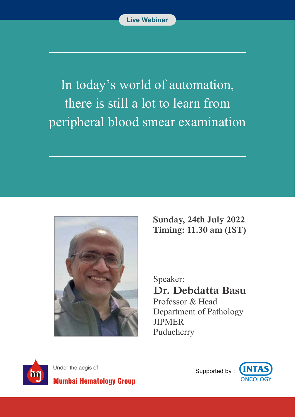In today's world of automation, there is still a lot to learn from peripheral blood smear examination



**Sunday, 24th July 2022 Timing: 11.30 am (IST)**

Speaker: **Dr. Debdatta Basu** Professor & Head Department of Pathology JIPMER Puducherry



Under the aegis of Supported by :



Mumbai Hematology Group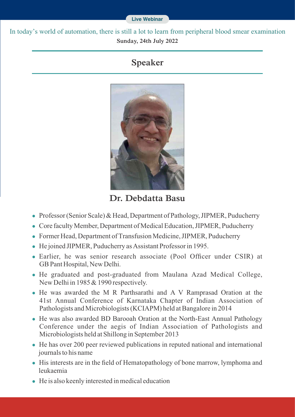In today's world of automation, there is still a lot to learn from peripheral blood smear examination **Sunday, 24th July 2022**

# **Speaker**



**Dr. Debdatta Basu**

- Professor (Senior Scale) & Head, Department of Pathology, JIPMER, Puducherry
- Core faculty Member, Department of Medical Education, JIPMER, Puducherry
- Former Head, Department of Transfusion Medicine, JIPMER, Puducherry
- He joined JIPMER, Puducherry as Assistant Professor in 1995.
- Earlier, he was senior research associate (Pool Officer under CSIR) at GB Pant Hospital, New Delhi.
- He graduated and post-graduated from Maulana Azad Medical College, New Delhi in 1985 & 1990 respectively.
- He was awarded the M R Parthsarathi and A V Ramprasad Oration at the 41st Annual Conference of Karnataka Chapter of Indian Association of Pathologists and Microbiologists (KCIAPM) held at Bangalore in 2014
- He was also awarded BD Barooah Oration at the North-East Annual Pathology Conference under the aegis of Indian Association of Pathologists and Microbiologists held at Shillong in September 2013
- $\bullet$  He has over 200 peer reviewed publications in reputed national and international journals to his name
- His interests are in the field of Hematopathology of bone marrow, lymphoma and leukaemia
- $\bullet$  He is also keenly interested in medical education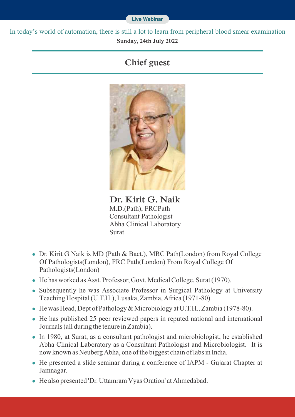In today's world of automation, there is still a lot to learn from peripheral blood smear examination **Sunday, 24th July 2022**

# **Chief guest**



**Dr. Kirit G. Naik** M.D.(Path), FRCPath Consultant Pathologist Abha Clinical Laboratory Surat

- Dr. Kirit G Naik is MD (Path & Bact.), MRC Path(London) from Royal College Of Pathologists(London), FRC Path(London) From Royal College Of Pathologists(London)
- $\bullet$  He has worked as Asst. Professor, Govt. Medical College, Surat (1970).
- Subsequently he was Associate Professor in Surgical Pathology at University Teaching Hospital (U.T.H.), Lusaka, Zambia, Africa (1971-80).
- $\bullet$  He was Head, Dept of Pathology & Microbiology at U.T.H., Zambia (1978-80).
- $\bullet$  He has published 25 peer reviewed papers in reputed national and international Journals (all during the tenure in Zambia).
- $\bullet$  In 1980, at Surat, as a consultant pathologist and microbiologist, he established Abha Clinical Laboratory as a Consultant Pathologist and Microbiologist. It is now known as Neuberg Abha, one of the biggest chain of labs in India.
- He presented a slide seminar during a conference of IAPM Gujarat Chapter at Jamnagar.
- He also presented 'Dr. Uttamram Vyas Oration' at Ahmedabad.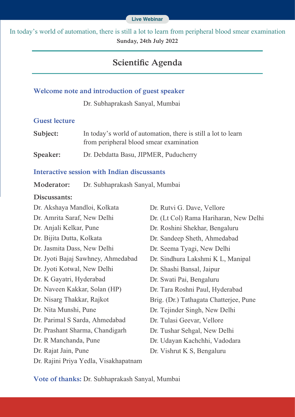In today's world of automation, there is still a lot to learn from peripheral blood smear examination **Sunday, 24th July 2022**

# **Scientific Agenda**

## **Welcome note and introduction of guest speaker**

Dr. Subhaprakash Sanyal, Mumbai

### **Guest lecture**

| Subject: | In today's world of automation, there is still a lot to learn |
|----------|---------------------------------------------------------------|
|          | from peripheral blood smear examination                       |
| Speaker: | Dr. Debdatta Basu, JIPMER, Puducherry                         |

### **Interactive session with Indian discussants**

**Moderator:** Dr. Subhaprakash Sanyal, Mumbai

### **Discussants:**

| Dr. Akshaya Mandloi, Kolkata          | Dr. Rutvi G. Dave, Vellore             |
|---------------------------------------|----------------------------------------|
| Dr. Amrita Saraf, New Delhi           | Dr. (Lt Col) Rama Hariharan, New Delhi |
| Dr. Anjali Kelkar, Pune               | Dr. Roshini Shekhar, Bengaluru         |
| Dr. Bijita Dutta, Kolkata             | Dr. Sandeep Sheth, Ahmedabad           |
| Dr. Jasmita Dass, New Delhi           | Dr. Seema Tyagi, New Delhi             |
| Dr. Jyoti Bajaj Sawhney, Ahmedabad    | Dr. Sindhura Lakshmi K L, Manipal      |
| Dr. Jyoti Kotwal, New Delhi           | Dr. Shashi Bansal, Jaipur              |
| Dr. K Gayatri, Hyderabad              | Dr. Swati Pai, Bengaluru               |
| Dr. Naveen Kakkar, Solan (HP)         | Dr. Tara Roshni Paul, Hyderabad        |
| Dr. Nisarg Thakkar, Rajkot            | Brig. (Dr.) Tathagata Chatterjee, Pune |
| Dr. Nita Munshi, Pune                 | Dr. Tejinder Singh, New Delhi          |
| Dr. Parimal S Sarda, Ahmedabad        | Dr. Tulasi Geevar, Vellore             |
| Dr. Prashant Sharma, Chandigarh       | Dr. Tushar Sehgal, New Delhi           |
| Dr. R Manchanda, Pune                 | Dr. Udayan Kachchhi, Vadodara          |
| Dr. Rajat Jain, Pune                  | Dr. Vishrut K S, Bengaluru             |
| Dr. Rajini Priya Yedla, Visakhapatnam |                                        |

**Vote of thanks:** Dr. Subhaprakash Sanyal, Mumbai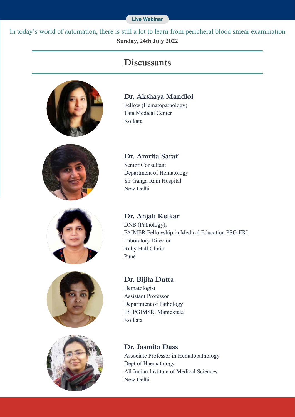In today's world of automation, there is still a lot to learn from peripheral blood smear examination **Sunday, 24th July 2022**

## **Discussants**



**Dr. Akshaya Mandloi** Fellow (Hematopathology) Tata Medical Center Kolkata



Senior Consultant Department of Hematology Sir Ganga Ram Hospital New Delhi

**Dr. Amrita Saraf**



**Dr. Anjali Kelkar** DNB (Pathology), FAIMER Fellowship in Medical Education PSG-FRI Laboratory Director Ruby Hall Clinic Pune





**Dr. Bijita Dutta** Hematologist Assistant Professor Department of Pathology ESIPGIMSR, Manicktala Kolkata

### **Dr. Jasmita Dass**

Associate Professor in Hematopathology Dept of Haematology All Indian Institute of Medical Sciences New Delhi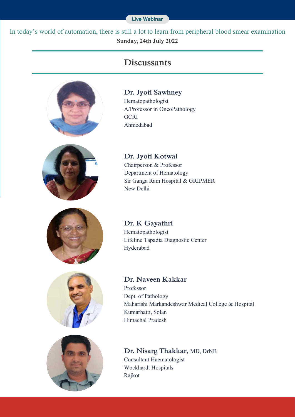In today's world of automation, there is still a lot to learn from peripheral blood smear examination **Sunday, 24th July 2022**

## **Discussants**



**Dr. Jyoti Sawhney** Hematopathologist A/Professor in OncoPathology **GCRI** Ahmedabad



**Dr. Jyoti Kotwal**  Chairperson & Professor Department of Hematology Sir Ganga Ram Hospital & GRIPMER New Delhi



**Dr. K Gayathri** Hematopathologist Lifeline Tapadia Diagnostic Center Hyderabad





**Dr. Naveen Kakkar** Professor Dept. of Pathology Maharishi Markandeshwar Medical College & Hospital Kumarhatti, Solan Himachal Pradesh

**Dr. Nisarg Thakkar,** MD, DrNB Consultant Haematologist Wockhardt Hospitals Rajkot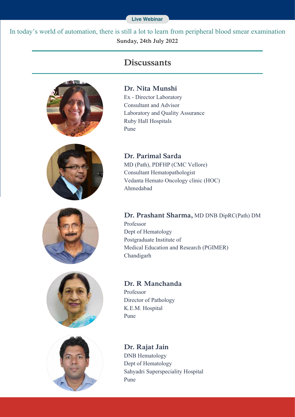In today's world of automation, there is still a lot to learn from peripheral blood smear examination **Sunday, 24th July 2022**

## **Discussants**



**Dr. Nita Munshi** Ex - Director Laboratory Consultant and Advisor Laboratory and Quality Assurance Ruby Hall Hospitals Pune







**Dr. Parimal Sarda** MD (Path), PDFHP (CMC Vellore) Consultant Hematopathologist Vedanta Hemato Oncology clinic (HOC) Ahmedabad

**Dr. Prashant Sharma,** MD DNB DipRC(Path) DM Professor Dept of Hematology Postgraduate Institute of Medical Education and Research (PGIMER) Chandigarh

**Dr. R Manchanda** Professor Director of Pathology K.E.M. Hospital Pune

**Dr. Rajat Jain** DNB Hematology Dept of Hematology Sahyadri Superspeciality Hospital Pune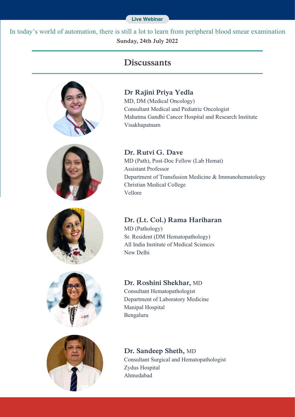In today's world of automation, there is still a lot to learn from peripheral blood smear examination **Sunday, 24th July 2022**

## **Discussants**



# **Dr Rajini Priya Yedla**

MD, DM (Medical Oncology) Consultant Medical and Pediatric Oncologist Mahatma Gandhi Cancer Hospital and Research Institute Visakhapatnam



**Dr. Rutvi G. Dave**  MD (Path), Post-Doc Fellow (Lab Hemat) Assistant Professor Department of Transfusion Medicine & Immunohematology Christian Medical College Vellore



**Dr. (Lt. Col.) Rama Hariharan** MD (Pathology) Sr. Resident (DM Hematopathology) All India Institute of Medical Sciences New Delhi





## **Dr. Roshini Shekhar,** MD

Consultant Hematopathologist Department of Laboratory Medicine Manipal Hospital Bengaluru

### **Dr. Sandeep Sheth,** MD Consultant Surgical and Hematopathologist Zydus Hospital Ahmedabad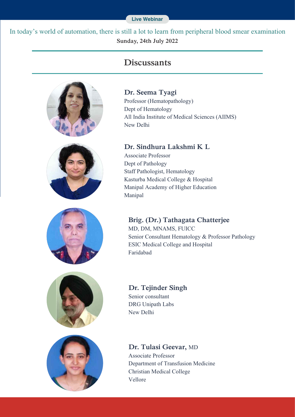In today's world of automation, there is still a lot to learn from peripheral blood smear examination **Sunday, 24th July 2022**

# **Discussants**





**Dr. Seema Tyagi**

Professor (Hematopathology) Dept of Hematology All India Institute of Medical Sciences (AIIMS) New Delhi

## **Dr. Sindhura Lakshmi K L**

Associate Professor Dept of Pathology Staff Pathologist, Hematology Kasturba Medical College & Hospital Manipal Academy of Higher Education Manipal



**Brig. (Dr.) Tathagata Chatterjee** MD, DM, MNAMS, FUICC Senior Consultant Hematology & Professor Pathology ESIC Medical College and Hospital Faridabad





**Dr. Tejinder Singh** Senior consultant DRG Unipath Labs New Delhi

## **Dr. Tulasi Geevar,** MD Associate Professor Department of Transfusion Medicine Christian Medical College Vellore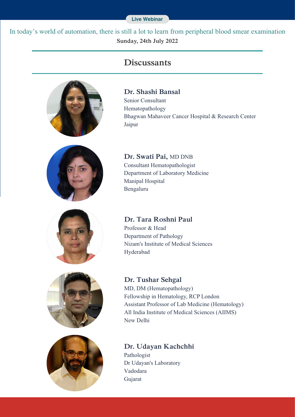In today's world of automation, there is still a lot to learn from peripheral blood smear examination **Sunday, 24th July 2022**

## **Discussants**



**Dr. Shashi Bansal**  Senior Consultant Hematopathology Bhagwan Mahaveer Cancer Hospital & Research Center Jaipur



**Dr. Swati Pai,** MD DNB Consultant Hematopathologist Department of Laboratory Medicine Manipal Hospital Bengaluru



**Dr. Tara Roshni Paul** Professor & Head Department of Pathology Nizam's Institute of Medical Sciences Hyderabad





**Dr. Tushar Sehgal** MD, DM (Hematopathology) Fellowship in Hematology, RCP London Assistant Professor of Lab Medicine (Hematology) All India Institute of Medical Sciences (AIIMS) New Delhi

## **Dr. Udayan Kachchhi**

Pathologist Dr Udayan's Laboratory Vadodara Gujarat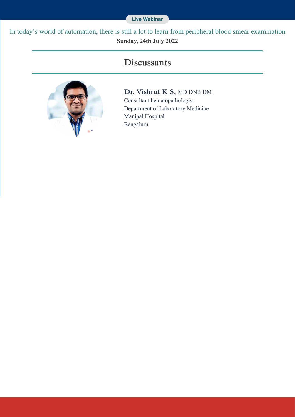In today's world of automation, there is still a lot to learn from peripheral blood smear examination **Sunday, 24th July 2022**

# **Discussants**



**Dr. Vishrut K S,** MD DNB DM Consultant hematopathologist

Department of Laboratory Medicine Manipal Hospital Bengaluru